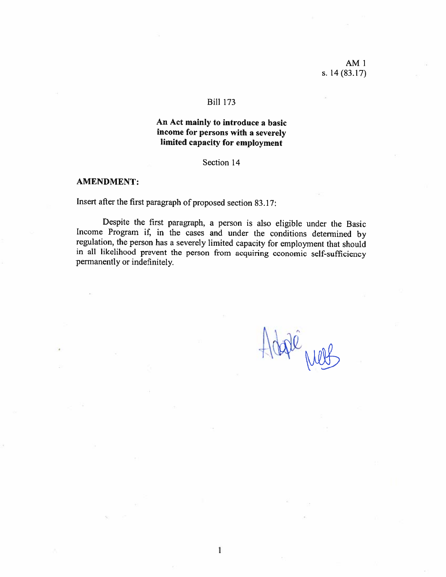### **Bill 173**

# An Act mainly to introduce a basic income for persons with a severely limited capacity for employment

### Section 14

### **AMENDMENT:**

Insert after the first paragraph of proposed section 83.17:

Despite the first paragraph, a person is also eligible under the Basic Income Program if, in the cases and under the conditions determined by regulation, the person has a severely limited capacity for employment that should in all likelihood prevent the person from acquiring economic self-sufficiency permanently or indefinitely.

 $\mathbf{I}$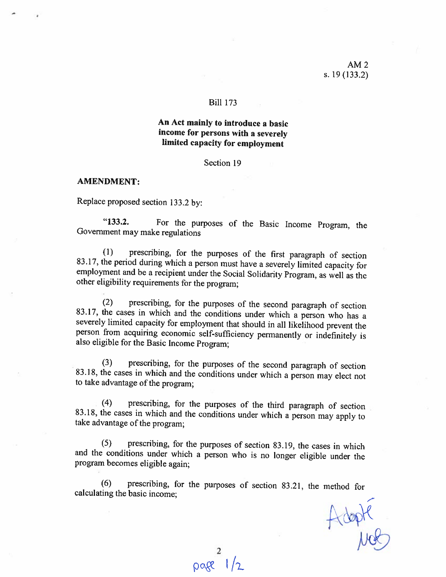## Bili 173

## An Act mainly to introduce <sup>a</sup> basic income for persons with <sup>a</sup> severely limited capacity for employment

Section 19

### AMENDMENT:

Replace proposed section 133.2 by:

"133.2. For the purposes of the Basic Income Program, the Government may make regulations

(1) prescribing, for the purposes of the first paragraph of section  $83.17$ , the period during which a person must have a severely limited capacity for employment and be a recipient under the Social Solidarity Program, as

(2) prescribing, for the purposes of the second paragraph of section 83.17, the cases in which and the conditions under which a person who has a severely limited capacity for employment that should in all likelihood preven person from acquiring economic self-sufficiency permanently or indefinitely is also eligible for the Basic Income Program;

(3) prescribing, for the purposes of the second paragraph of section 83.18, the cases in which and the conditions under which a person may elect not to take advantage of the program;

(4) prescribing, for the purposes of the third paragraph of section 83,18, the cases in which and the conditions under which <sup>n</sup> person may apply to take advantage of the program;

 $(5)$  prescribing, for the purposes of section 83.19, the cases in which and the conditions under which <sup>a</sup> person who is no longer eligible under the program becomes eligible again;

 $(6)$  prescribing, for the purposes of section 83.21, the method for calculating the basic income:

Adopte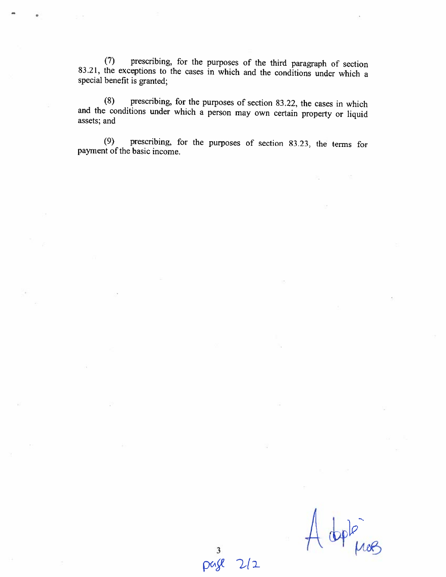(7) prescribing. for the purposes of the third paragraph of section 83.21, the exceptions to the cases in which and the conditions under which <sup>a</sup> special benefit is granted;

(8) prescribing, for the purposes of section 83.22, the cases in which and the conditions under which <sup>a</sup> person may own certain property or liquid assets; and

(9) prescribing, for the purposes of section 8323, the terrns for payrnent of the basic income.

Â ople mos

3 page  $2/2$